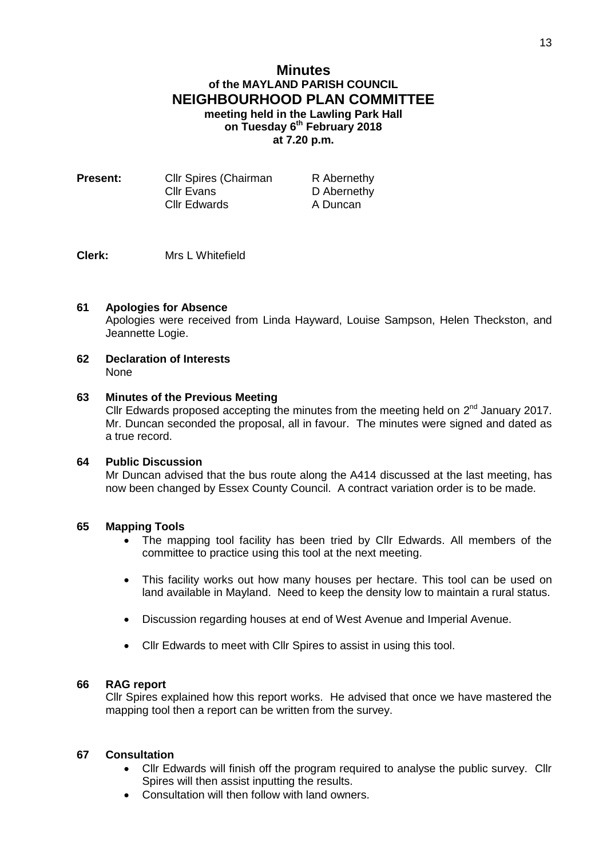# **Minutes of the MAYLAND PARISH COUNCIL NEIGHBOURHOOD PLAN COMMITTEE meeting held in the Lawling Park Hall on Tuesday 6 th February 2018 at 7.20 p.m.**

| <b>Present:</b> | <b>CIIr Spires (Chairman</b> | R Abernethy |
|-----------------|------------------------------|-------------|
|                 | Cllr Evans                   | D Abernethy |
|                 | <b>Cllr Edwards</b>          | A Duncan    |

## **Clerk:** Mrs L Whitefield

### **61 Apologies for Absence**

Apologies were received from Linda Hayward, Louise Sampson, Helen Theckston, and Jeannette Logie.

**62 Declaration of Interests** None

#### **63 Minutes of the Previous Meeting**

Cllr Edwards proposed accepting the minutes from the meeting held on  $2^{nd}$  January 2017. Mr. Duncan seconded the proposal, all in favour. The minutes were signed and dated as a true record.

### **64 Public Discussion**

Mr Duncan advised that the bus route along the A414 discussed at the last meeting, has now been changed by Essex County Council. A contract variation order is to be made.

#### **65 Mapping Tools**

- The mapping tool facility has been tried by Cllr Edwards. All members of the committee to practice using this tool at the next meeting.
- This facility works out how many houses per hectare. This tool can be used on land available in Mayland. Need to keep the density low to maintain a rural status.
- Discussion regarding houses at end of West Avenue and Imperial Avenue.
- Cllr Edwards to meet with Cllr Spires to assist in using this tool.

#### **66 RAG report**

Cllr Spires explained how this report works. He advised that once we have mastered the mapping tool then a report can be written from the survey.

### **67 Consultation**

- Cllr Edwards will finish off the program required to analyse the public survey. Cllr Spires will then assist inputting the results.
- Consultation will then follow with land owners.